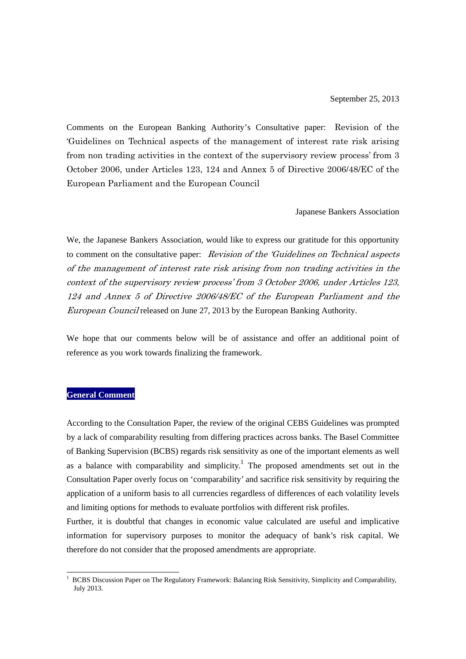Comments on the European Banking Authority's Consultative paper: Revision of the 'Guidelines on Technical aspects of the management of interest rate risk arising from non trading activities in the context of the supervisory review process' from 3 October 2006, under Articles 123, 124 and Annex 5 of Directive 2006/48/EC of the European Parliament and the European Council

Japanese Bankers Association

We, the Japanese Bankers Association, would like to express our gratitude for this opportunity to comment on the consultative paper: *Revision of the 'Guidelines on Technical aspects* of the management of interest rate risk arising from non trading activities in the context of the supervisory review process' from 3 October 2006, under Articles 123, 124 and Annex 5 of Directive 2006/48/EC of the European Parliament and the European Council released on June 27, 2013 by the European Banking Authority.

We hope that our comments below will be of assistance and offer an additional point of reference as you work towards finalizing the framework.

## **General Comment**

1

According to the Consultation Paper, the review of the original CEBS Guidelines was prompted by a lack of comparability resulting from differing practices across banks. The Basel Committee of Banking Supervision (BCBS) regards risk sensitivity as one of the important elements as well as a balance with comparability and simplicity.<sup>1</sup> The proposed amendments set out in the Consultation Paper overly focus on 'comparability' and sacrifice risk sensitivity by requiring the application of a uniform basis to all currencies regardless of differences of each volatility levels and limiting options for methods to evaluate portfolios with different risk profiles.

Further, it is doubtful that changes in economic value calculated are useful and implicative information for supervisory purposes to monitor the adequacy of bank's risk capital. We therefore do not consider that the proposed amendments are appropriate.

<sup>1</sup> BCBS Discussion Paper on The Regulatory Framework: Balancing Risk Sensitivity, Simplicity and Comparability, July 2013.